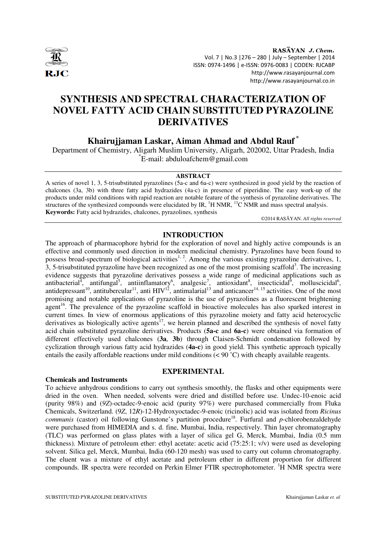

RASAYAN J. Chem. Vol. 7 | No.3 |276 – 280 | July – September | 2014 ISSN: 0974-1496 | e-ISSN: 0976-0083 | CODEN: RJCABP http://www.rasayanjournal.com http://www.rasayanjournal.co.in

# **SYNTHESIS AND SPECTRAL CHARACTERIZATION OF NOVEL FATTY ACID CHAIN SUBSTITUTED PYRAZOLINE DERIVATIVES**

**Khairujjaman Laskar, Aiman Ahmad and Abdul Rauf \*** 

Department of Chemistry, Aligarh Muslim University, Aligarh, 202002, Uttar Pradesh, India \*E-mail: abduloafchem@gmail.com

## **ABSTRACT**

A series of novel 1, 3, 5-trisubstituted pyrazolines (5a-c and 6a-c) were synthesized in good yield by the reaction of chalcones (3a, 3b) with three fatty acid hydrazides (4a-c) in presence of piperidine. The easy work-up of the products under mild conditions with rapid reaction are notable feature of the synthesis of pyrazoline derivatives. The structures of the synthesized compounds were elucidated by IR,  ${}^{1}$ H NMR,  ${}^{13}$ C NMR and mass spectral analysis. **Keywords:** Fatty acid hydrazides, chalcones, pyrazolines, synthesis

©2014 RASĀYAN. *All rights reserved*

## **INTRODUCTION**

The approach of pharmacophore hybrid for the exploration of novel and highly active compounds is an effective and commonly used direction in modern medicinal chemistry. Pyrazolines have been found to possess broad-spectrum of biological activities<sup>1, 2</sup>. Among the various existing pyrazoline derivatives, 1,  $3, 5$ -trisubstituted pyrazoline have been recognized as one of the most promising scaffold<sup>3</sup>. The increasing evidence suggests that pyrazoline derivatives possess a wide range of medicinal applications such as antibacterial<sup>4</sup>, antifungal<sup>5</sup>, antiinflamatory<sup>6</sup>, analgesic<sup>7</sup>, antioxidant<sup>8</sup>, insecticidal<sup>6</sup>, molluscicidal<sup>6</sup>, antidepressant<sup>10</sup>, antitubercular<sup>11</sup>, anti  $HIV^{12}$ , antimalarial<sup>13</sup> and anticancer<sup>14, 15</sup> activities. One of the most promising and notable applications of pyrazoline is the use of pyrazolines as a fluorescent brightening agent<sup>16</sup>. The prevalence of the pyrazoline scaffold in bioactive molecules has also sparked interest in current times. In view of enormous applications of this pyrazoline moiety and fatty acid heterocyclic derivatives as biologically active agents<sup>17</sup>, we herein planned and described the synthesis of novel fatty acid chain substituted pyrazoline derivatives. Products (**5a-c** and **6a-c**) were obtained via formation of different effectively used chalcones (**3a**, **3b**) through Claisen-Schmidt condensation followed by cyclization through various fatty acid hydrazides (**4a-c**) in good yield. This synthetic approach typically entails the easily affordable reactions under mild conditions  $(< 90 °C)$  with cheaply available reagents.

### **Chemicals and Instruments**

### **EXPERIMENTAL**

To achieve anhydrous conditions to carry out synthesis smoothly, the flasks and other equipments were dried in the oven. When needed, solvents were dried and distilled before use. Undec-10-enoic acid (purity 98%) and (*9Z*)-octadec-9-enoic acid (purity 97%) were purchased commercially from Fluka Chemicals, Switzerland. (9*Z*, 12*R*)-12-Hydroxyoctadec-9-enoic (ricinolic) acid was isolated from *Ricinus communis* (castor) oil following Gunstone's partition procedure<sup>18</sup>. Furfural and *p*-chlorobenzaldehyde were purchased from HIMEDIA and s. d. fine, Mumbai, India, respectively. Thin layer chromatography (TLC) was performed on glass plates with a layer of silica gel G, Merck, Mumbai, India (0.5 mm thickness). Mixture of petroleum ether: ethyl acetate: acetic acid (75:25:1; v/v) were used as developing solvent. Silica gel, Merck, Mumbai, India (60-120 mesh) was used to carry out column chromatography. The eluent was a mixture of ethyl acetate and petroleum ether in different proportion for different compounds. IR spectra were recorded on Perkin Elmer FTIR spectrophotometer.  ${}^{1}H$  NMR spectra were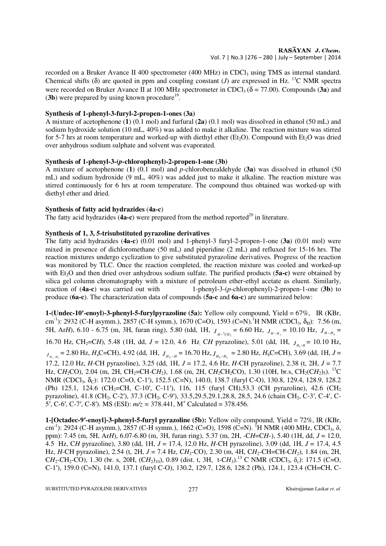recorded on a Bruker Avance II 400 spectrometer (400 MHz) in CDCl<sub>3</sub> using TMS as internal standard. Chemical shifts ( $\delta$ ) are quoted in ppm and coupling constant (*J*) are expressed in Hz. <sup>13</sup>C NMR spectra were recorded on Bruker Avance II at 100 MHz spectrometer in CDCl<sub>3</sub> ( $\delta$  = 77.00). Compounds (**3a**) and  $(3b)$  were prepared by using known procedure<sup>19</sup>.

## **Synthesis of 1-phenyl-3-furyl-2-propen-1-ones (3a)**

A mixture of acetophenone (**1**) (0.1 mol) and furfural (**2a**) (0.1 mol) was dissolved in ethanol (50 mL) and sodium hydroxide solution (10 mL, 40%) was added to make it alkaline. The reaction mixture was stirred for 5-7 hrs at room temperature and worked-up with diethyl ether ( $Et<sub>2</sub>O$ ). Compound with  $Et<sub>2</sub>O$  was dried over anhydrous sodium sulphate and solvent was evaporated.

## **Synthesis of 1-phenyl-3-(***p***-chlorophenyl)-2-propen-1-one (3b)**

A mixture of acetophenone (**1**) (0.1 mol) and *p*-chlorobenzaldehyde (**3a**) was dissolved in ethanol (50 mL) and sodium hydroxide (9 mL, 40%) was added just to make it alkaline. The reaction mixture was stirred continuously for 6 hrs at room temperature. The compound thus obtained was worked-up with diethyl ether and dried.

## **Synthesis of fatty acid hydrazides** (**4a-c**)

The fatty acid hydrazides (4a-c) were prepared from the method reported<sup>20</sup> in literature.

## **Synthesis of 1, 3, 5-trisubstituted pyrazoline derivatives**

The fatty acid hydrazides (**4a-c**) (0.01 mol) and 1-phenyl-3 furyl-2-propen-1-one (**3a**) (0.01 mol) were mixed in presence of dichloromethane (50 mL) and piperidine (2 mL) and refluxed for 15-16 hrs. The reaction mixtures undergo cyclization to give substituted pyrazoline derivatives. Progress of the reaction was monitored by TLC. Once the reaction completed, the reaction mixture was cooled and worked-up with Et<sub>2</sub>O and then dried over anhydrous sodium sulfate. The purified products (5a-c) were obtained by silica gel column chromatography with a mixture of petroleum ether-ethyl acetate as eluent. Similarly, reaction of (**4a-c**) was carried out with 1-phenyl-3-(*p*-chlorophenyl)-2-propen-1-one (**3b**) to produce (**6a-c**). The characterization data of compounds (**5a-c** and **6a-c**) are summarized below:

**1-(Undec-10**′**-enoyl)-3-phenyl-5-furylpyrazoline (5a):** Yellow oily compound, Yield = 67%, IR (KBr, cm<sup>-1</sup>): 2932 (C-H asymm.), 2857 (C-H symm.), 1670 (C=O), 1593 (C=N).<sup>1</sup>H NMR (CDCl<sub>3</sub>,  $\delta_{\rm H}$ ): 7.56 (m, 5H, Ar*H*), 6.10 - 6.75 (m, 3H, furan ring), 5.80 (tdd, 1H,  $J_{H^{-2}CH_2} = 6.60$  Hz,  $J_{H-H_a} = 10.10$  Hz,  $J_{H-H_b} =$ 16.70 Hz, CH<sub>2</sub>=CH), 5.48 (1H, dd, *J* = 12.0, 4.6 Hz<sub>,</sub> CH pyrazoline), 5.01 (dd, 1H,  $J_{H_a-H}$  = 10.10 Hz,  $J_{H_a-H_b}$  = 2.80 Hz,  $H_aC$  = CH), 4.92 (dd, 1H,  $J_{H_b-H}$  = 16.70 Hz,  $J_{H_b-H_a}$  = 2.80 Hz,  $H_bC$  = CH), 3.69 (dd, 1H,  $J$  = 17.2, 12.0 Hz, *H*-CH pyrazoline), 3.25 (dd, 1H, *J* = 17.2, 4.6 Hz, *H-*CH pyrazoline), 2.38 (t, 2H, *J* = 7.7 Hz, CH<sub>2</sub>CO), 2.04 (m, 2H, CH<sub>2</sub>=CH-CH<sub>2</sub>), 1.68 (m, 2H, CH<sub>2</sub>CH<sub>2</sub>CO), 1.30 (10H, br.s, CH<sub>2</sub>(CH<sub>2</sub>)<sub>5</sub>). <sup>13</sup>C NMR (CDCl<sub>3</sub>, δ<sub>C</sub>): 172.0 (C=O, C-1<sup>'</sup>), 152.5 (C=N), 140.0, 138.7 (furyl C-O), 130.8, 129.4, 128.9, 128.2 (Ph) 125.1, 124.6 (CH<sub>2</sub>=CH, C-10′, C-11′), 116, 115 (furyl CH), 53.3 (CH pyrazoline), 42.6 (CH<sub>2</sub>) pyrazoline), 41.8 (CH<sub>2</sub>, C-2'), 37.3 (CH<sub>2</sub>, C-9'), 33.5,29.5,29.1,28.8, 28.5, 24.6 (chain CH<sub>2</sub>, C-3', C-4', C-5', C-6', C-7', C-8'). MS (ESI):  $m/z = 378.441$ , M<sup>+</sup> Calculated = 378.456.

**1-[Octadec-9**′**-enoyl]-3-phenyl-5-furyl pyrazoline (5b):** Yellow oily compound, Yield = 72%, IR (KBr, cm<sup>-1</sup>): 2924 (C-H asymm.), 2857 (C-H symm.), 1662 (C=O), 1598 (C=N). <sup>1</sup>H NMR (400 MHz, CDCl<sub>3</sub>,  $\delta$ , ppm): 7.45 (m, 5H, Ar*H*), 6.07-6.80 (m, 3H, furan ring), 5.37 (m, 2H, -C*H*=C*H*-), 5.40 (1H, dd, *J* = 12.0, 4.5 Hz, C*H* pyrazoline), 3.80 (dd, 1H, *J* = 17.4, 12.0 Hz, *H-*CH pyrazoline), 3.09 (dd, 1H, *J* = 17.4, 4.5 Hz, *H*-CH pyrazoline), 2.54 (t, 2H, *J* = 7.4 Hz, C*H*<sub>2</sub>-CO), 2.30 (m, 4H, C*H*<sub>2</sub>-CH=CH-C*H*<sub>2</sub>), 1.84 (m, 2H,  $CH_2$ -CH<sub>2</sub>-CO), 1.30 (br. s, 20H,  $(CH_2)_{10}$ ), 0.89 (dist. t, 3H, t-CH<sub>3</sub>).<sup>13</sup> C NMR (CDCl<sub>3</sub>,  $\delta_c$ ): 171.5 (C=O, C-1′), 159.0 (C=N), 141.0, 137.1 (furyl C-O), 130.2, 129.7, 128.6, 128.2 (Ph), 124.1, 123.4 (CH=CH, C-

SUBSTITUTED PYRAZOLINE DERIVATIVES 277 Khairujjaman Laskar *et. al*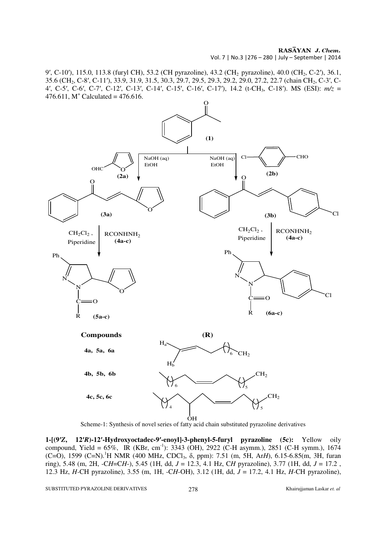RASĀYAN J. Chem.

Vol. 7 | No.3 |276 – 280 | July – September | 2014

9′, C-10′), 115.0, 113.8 (furyl CH), 53.2 (CH pyrazoline), 43.2 (CH<sub>2</sub> pyrazoline), 40.0 (CH<sub>2</sub>, C-2′), 36.1, 35.6 (CH2, C-8′, C-11′), 33.9, 31.9, 31.5, 30.3, 29.7, 29.5, 29.3, 29.2, 29.0, 27.2, 22.7 (chain CH2, C-3′, C-4′, C-5′, C-6′, C-7′, C-12′, C-13′, C-14′, C-15′, C-16′, C-17′), 14.2 (t-CH3, C-18′). MS (ESI): *m/z* =  $476.611$ , M<sup>+</sup> Calculated = 476.616.



Scheme-1: Synthesis of novel series of fatty acid chain substituted pyrazoline derivatives

**1-[(9**′*Z***, 12**′*R***)-12**′**-Hydroxyoctadec-9**′**-enoyl]-3-phenyl-5-furyl pyrazoline (5c):** Yellow oily compound, Yield = 65%, IR (KBr, cm<sup>-1</sup>): 3343 (OH), 2922 (C-H asymm.), 2851 (C-H symm.), 1674 (C=O), 1599 (C=N).<sup>1</sup>H NMR (400 MHz, CDCl3, δ, ppm): 7.51 (m, 5H, Ar*H*), 6.15-6.85(m, 3H, furan ring), 5.48 (m, 2H, -C*H*=C*H*-), 5.45 (1H, dd, *J* = 12.3, 4.1 Hz, C*H* pyrazoline), 3.77 (1H, dd, *J* = 17.2 , 12.3 Hz, *H-*CH pyrazoline), 3.55 (m, 1H, -C*H*-OH), 3.12 (1H, dd, *J* = 17.2, 4.1 Hz, *H-*CH pyrazoline),

SUBSTITUTED PYRAZOLINE DERIVATIVES 278 Khairujjaman Laskar *et. al*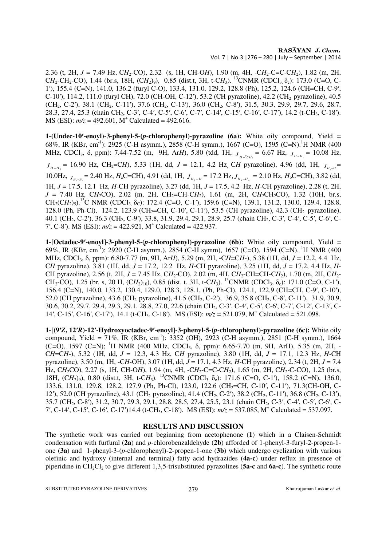2.36 (t, 2H,  $J = 7.49$  Hz,  $CH_2$ -CO), 2.32 (s, 1H, CH-O*H*), 1.90 (m, 4H, -C*H*<sub>2</sub>-C=C-C*H*<sub>2</sub>), 1.82 (m, 2H, CH<sub>2</sub>-CH<sub>2</sub>-CO), 1.44 (br.s, 18H,  $(CH_2)_{9}$ ), 0.85 (dist.t, 3H, t-CH<sub>3</sub>). <sup>13</sup>CNMR (CDCl<sub>3,</sub>  $\delta_c$ ): 173.0 (C=O, C-1′), 155.4 (C=N), 141.0, 136.2 (furyl C-O), 133.4, 131.0, 129.2, 128.8 (Ph), 125.2, 124.6 (CH=CH, C-9′, C-10′), 114.2, 111.0 (furyl CH), 72.0 (CH-OH, C-12′), 53.2 (CH pyrazoline), 42.2 (CH<sub>2</sub> pyrazoline), 40.5 (CH<sub>2</sub>, C-2'), 38.1 (CH<sub>2</sub>, C-11'), 37.6 (CH<sub>2</sub>, C-13'), 36.0 (CH<sub>2</sub>, C-8'), 31.5, 30.3, 29.9, 29.7, 29.6, 28.7, 28.3, 27.4, 25.3 (chain CH<sub>2</sub>, C-3', C-4', C-5', C-6', C-7', C-14', C-15', C-16', C-17'), 14.2 (t-CH<sub>3</sub>, C-18').  $MS (ESI): m/z = 492.601, M<sup>+</sup> Calculated = 492.616.$ 

**1-(Undec-10**′**-enoyl)-3-phenyl-5-(***p***-chlorophenyl)-pyrazoline (6a):** White oily compound, Yield = 68%, IR (KBr, cm<sup>-1</sup>): 2925 (C-H asymm.), 2858 (C-H symm.), 1667 (C=O), 1595 (C=N).<sup>1</sup>H NMR (400 MHz, CDCl<sub>3</sub>, δ, ppm): 7.44-7.52 (m, 9H, Ar*H*), 5.80 (tdd, 1H,  $J_{H^{-9}CH_2}$  = 6.67 Hz,  $J_{H-H_a}$  = 10.08 Hz,  $J_{H-H_b}$  = 16.90 Hz, CH<sub>2</sub>=C*H*), 5.33 (1H, dd, *J* = 12.1, 4.2 Hz<sub>,</sub> C*H* pyrazoline), 4.96 (dd, 1H,  $J_{H_a-H}$  = 10.0Hz,  $J_{H_a-H_b}$  = 2.40 Hz,  $H_a$ C=CH), 4.91 (dd, 1H,  $J_{H_b-H}$  = 17.2 Hz,  $J_{H_b-H_a}$  = 2.10 Hz,  $H_b$ C=CH), 3.82 (dd, 1H, *J* = 17.5, 12.1 Hz, *H*-CH pyrazoline), 3.27 (dd, 1H, *J* = 17.5, 4.2 Hz, *H-*CH pyrazoline), 2.28 (t, 2H,  $J = 7.40$  Hz, CH<sub>2</sub>CO), 2.02 (m, 2H, CH<sub>2</sub>=CH-CH<sub>2</sub>), 1.61 (m, 2H, CH<sub>2</sub>CH<sub>2</sub>CO), 1.32 (10H, br.s,  $CH_2(CH_2)_5$ .<sup>13</sup>C NMR (CDCl<sub>3,</sub>  $\delta_C$ ): 172.4 (C=O, C-1'), 159.6 (C=N), 139.1, 131.2, 130.0, 129.4, 128.8, 128.0 (Ph, Ph-Cl), 124.2, 123.9 (CH<sub>2</sub>=CH, C-10′, C-11′), 53.5 (CH pyrazoline), 42.3 (CH<sub>2</sub> pyrazoline), 40.1 (CH2, C-2′), 36.3 (CH2, C-9′), 33.8, 31.9, 29.4, 29.1, 28.9, 25.7 (chain CH2, C-3′, C-4′, C-5′, C-6′, C-7', C-8'). MS (ESI):  $m/z = 422.921$ , M<sup>+</sup> Calculated = 422.937.

**1-[Octadec-9**′**-enoyl]-3-phenyl-5-(***p***-chlorophenyl)-pyrazoline (6b):** White oily compound, Yield = 69%, IR (KBr, cm<sup>-1</sup>): 2920 (C-H asymm.), 2854 (C-H symm), 1657 (C=O), 1594 (C=N). <sup>1</sup>H NMR (400 MHz, CDCl3, δ, ppm): 6.80-7.77 (m, 9H, Ar*H*), 5.29 (m, 2H, -C*H*=C*H*-), 5.38 (1H, dd, *J* = 12.2, 4.4 Hz, C*H* pyrazoline), 3.81 (1H, dd, *J* = 17.2, 12.2 Hz, *H-*CH pyrazoline), 3.25 (1H, dd, *J* = 17.2, 4.4 Hz, *H-*CH pyrazoline), 2.56 (t, 2H,  $J = 7.45$  Hz, CH<sub>2</sub>-CO), 2.02 (m, 4H, CH<sub>2</sub>-CH=CH-CH<sub>2</sub>), 1.70 (m, 2H, CH<sub>2</sub>-CH<sub>2</sub>-CO), 1.25 (br. s, 20 H,  $(CH_2)_{10}$ ), 0.85 (dist. t, 3H, t-CH<sub>3</sub>). <sup>13</sup>CNMR (CDCl<sub>3</sub>,  $\delta_0$ ): 171.0 (C=O, C-1<sup>'</sup>), 156.4 (C=N), 140.0, 133.2, 130.4, 129.0, 128.3, 128.1, (Ph, Ph-Cl), 124.1, 122.9 (CH=CH, C-9′, C-10′), 52.0 (CH pyrazoline), 43.6 (CH<sub>2</sub> pyrazoline), 41.5 (CH<sub>2</sub>, C-2′), 36.9, 35.8 (CH<sub>2</sub>, C-8′, C-11′), 31.9, 30.9, 30.6, 30.2, 29.7, 29.4, 29.3, 29.1, 28.8, 27.0, 22.6 (chain CH2, C-3′, C-4′, C-5′, C-6′, C-7′, C-12′, C-13′, C-14′, C-15′, C-16′, C-17′), 14.1 (t-CH3, C-18′). MS (ESI): *m/z* = 521.079, M<sup>+</sup> Calculated = 521.098.

**1-[(9**′*Z***, 12**′*R***)-12**′**-Hydroxyoctadec-9**′**-enoyl]-3-phenyl-5-(***p***-chlorophenyl)-pyrazoline (6c):** White oily compound, Yield = 71%, IR (KBr, cm<sup>-1</sup>):  $3352$  (OH),  $2923$  (C-H asymm.),  $2851$  (C-H symm.),  $1664$ (C=O), 1597 (C=N); <sup>1</sup>H NMR (400 MHz, CDCl<sub>3</sub>,  $\delta$ , ppm): 6.65-7.70 (m, 9H, ArH), 5.35 (m, 2H, -C*H*=C*H*-), 5.32 (1H, dd, *J* = 12.3, 4.3 Hz, C*H* pyrazoline), 3.80 (1H, dd, *J* = 17.1, 12.3 Hz, *H-*CH pyrazoline), 3.50 (m, 1H, -C*H*-OH), 3.07 (1H, dd, *J* = 17.1, 4.3 Hz, *H-*CH pyrazoline), 2.34 (t, 2H, *J* = 7.4 Hz, CH<sub>2</sub>CO), 2.27 (s, 1H, CH-OH), 1.94 (m, 4H, -CH<sub>2</sub>-C=C-CH<sub>2</sub>), 1.65 (m, 2H, CH<sub>2</sub>-C-CO), 1.25 (br.s, 18H, (CH<sub>2</sub>)<sub>9</sub>), 0.80 (dist.t, 3H, t-CH<sub>3</sub>). <sup>13</sup>CNMR (CDCl<sub>3,</sub> δ<sub>c</sub>): 171.6 (C=O, C-1′), 158.2 (C=N), 136.0, 133.6, 131.0, 129.8, 128.2, 127.9 (Ph, Ph-Cl), 123.0, 122.6 (CH<sub>2</sub>=CH, C-10′, C-11′), 71.3(CH-OH, C-12′), 52.0 (CH pyrazoline), 43.1 (CH<sub>2</sub> pyrazoline), 41.4 (CH<sub>2</sub>, C-2′), 38.2 (CH<sub>2</sub>, C-11′), 36.8 (CH<sub>2</sub>, C-13′), 35.7 (CH2, C-8′), 31.2, 30.7, 29.3, 29.1, 28.8, 28.5, 27.4, 25.5, 23.1 (chain CH2, C-3′, C-4′, C-5′, C-6′, C-7′, C-14′, C-15′, C-16′, C-17′)14.4 (t-CH3, C-18′). MS (ESI): *m/z* = 537.085, M<sup>+</sup> Calculated = 537.097.

## **RESULTS AND DISCUSSION**

The synthetic work was carried out beginning from acetophenone (**1**) which in a Claisen-Schmidt condensation with furfural (**2a**) and *p*-chlorobenzaldehyde (**2b**) afforded of 1-phenyl-3-furyl-2-propen-1 one (**3a**) and 1-phenyl-3-(*p*-chlorophenyl)-2-propen-1-one (**3b**) which undergo cyclization with various olefinic and hydroxy (internal and terminal) fatty acid hydrazides (**4a-c**) under reflux in presence of piperidine in CH2Cl2 to give different 1,3,5-trisubstituted pyrazolines (**5a-c** and **6a-c**). The synthetic route